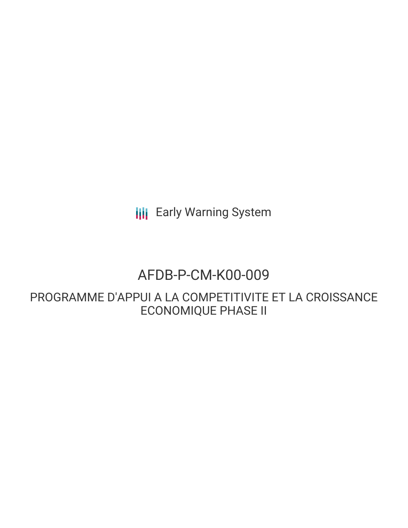**III** Early Warning System

# AFDB-P-CM-K00-009

PROGRAMME D'APPUI A LA COMPETITIVITE ET LA CROISSANCE ECONOMIQUE PHASE II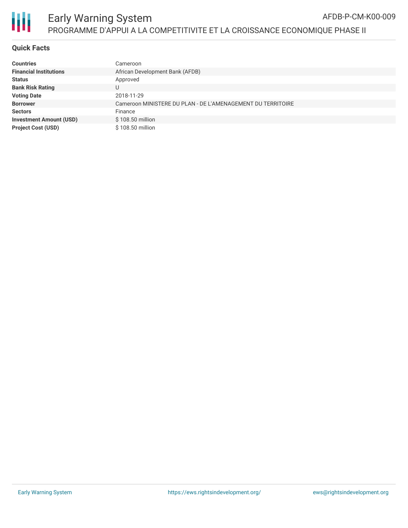

## **Quick Facts**

| <b>Countries</b>               | Cameroon                                                    |
|--------------------------------|-------------------------------------------------------------|
| <b>Financial Institutions</b>  | African Development Bank (AFDB)                             |
| <b>Status</b>                  | Approved                                                    |
| <b>Bank Risk Rating</b>        | U                                                           |
| <b>Voting Date</b>             | 2018-11-29                                                  |
| <b>Borrower</b>                | Cameroon MINISTERE DU PLAN - DE L'AMENAGEMENT DU TERRITOIRE |
| <b>Sectors</b>                 | Finance                                                     |
| <b>Investment Amount (USD)</b> | \$108.50 million                                            |
| <b>Project Cost (USD)</b>      | \$108.50 million                                            |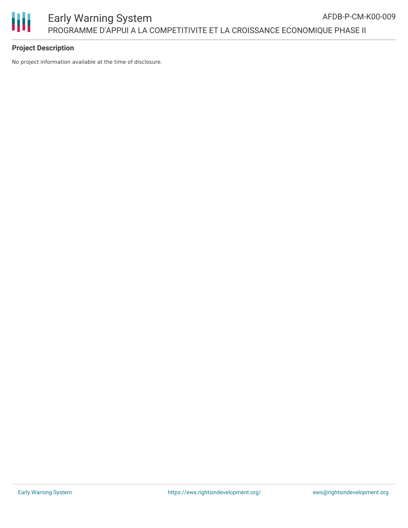

## **Project Description**

No project information available at the time of disclosure.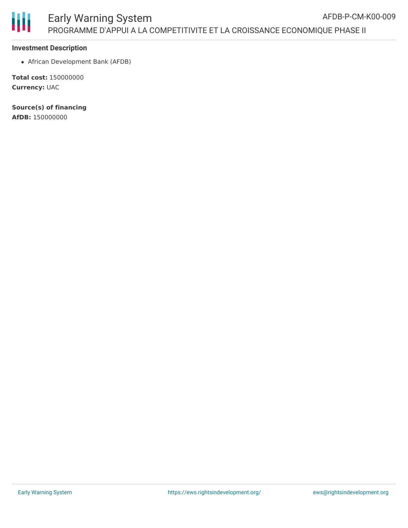

#### **Investment Description**

African Development Bank (AFDB)

**Total cost:** 150000000 **Currency:** UAC

**Source(s) of financing AfDB:** 150000000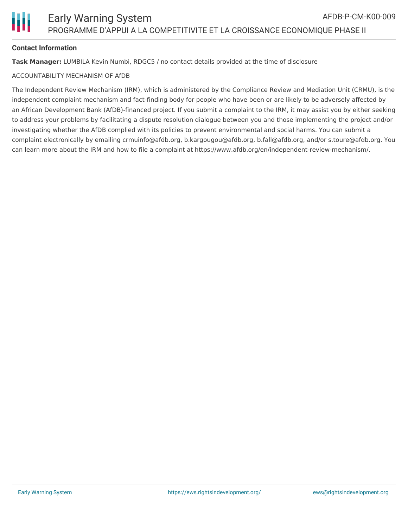

## **Contact Information**

**Task Manager:** LUMBILA Kevin Numbi, RDGC5 / no contact details provided at the time of disclosure

#### ACCOUNTABILITY MECHANISM OF AfDB

The Independent Review Mechanism (IRM), which is administered by the Compliance Review and Mediation Unit (CRMU), is the independent complaint mechanism and fact-finding body for people who have been or are likely to be adversely affected by an African Development Bank (AfDB)-financed project. If you submit a complaint to the IRM, it may assist you by either seeking to address your problems by facilitating a dispute resolution dialogue between you and those implementing the project and/or investigating whether the AfDB complied with its policies to prevent environmental and social harms. You can submit a complaint electronically by emailing crmuinfo@afdb.org, b.kargougou@afdb.org, b.fall@afdb.org, and/or s.toure@afdb.org. You can learn more about the IRM and how to file a complaint at https://www.afdb.org/en/independent-review-mechanism/.